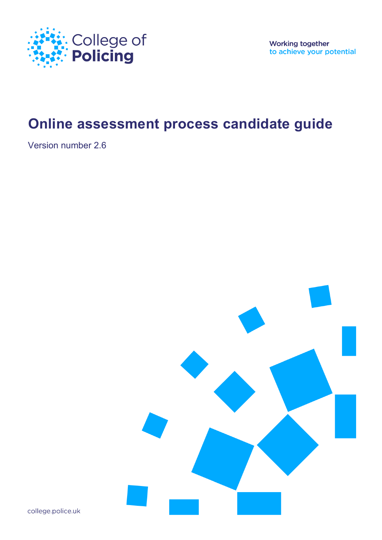

**Working together** to achieve your potential

# **Online assessment process candidate guide**

Version number 2.6



college.police.uk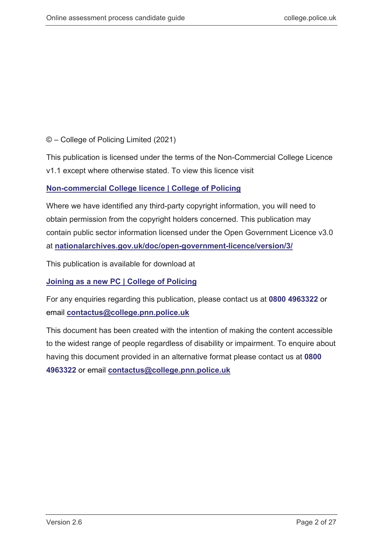## © – College of Policing Limited (2021)

This publication is licensed under the terms of the Non-Commercial College Licence v1.1 except where otherwise stated. To view this licence visit

## **[Non-commercial College licence |](https://www.college.police.uk/non-commercial-college-licence) College of Policing**

Where we have identified any third-party copyright information, you will need to obtain permission from the copyright holders concerned. This publication may contain public sector information licensed under the Open Government Licence v3.0 at **[nationalarchives.gov.uk/doc/open-government-licence/version/3/](http://www.nationalarchives.gov.uk/doc/open-government-licence/version/3/)**

This publication is available for download at

**[Joining as a new PC | College of Policing](https://www.college.police.uk/career-learning/joining-police/joining-new-pc)**

For any enquiries regarding this publication, please contact us at **0800 4963322** or email **contactus@college.pnn.police.uk**

This document has been created with the intention of making the content accessible to the widest range of people regardless of disability or impairment. To enquire about having this document provided in an alternative format please contact us at **0800 4963322** or email **contactus@college.pnn.police.uk**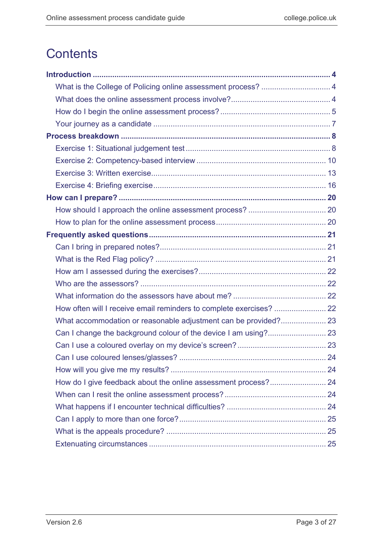# **Contents**

| What is the College of Policing online assessment process?  4       |  |
|---------------------------------------------------------------------|--|
|                                                                     |  |
|                                                                     |  |
|                                                                     |  |
|                                                                     |  |
|                                                                     |  |
|                                                                     |  |
|                                                                     |  |
|                                                                     |  |
|                                                                     |  |
|                                                                     |  |
|                                                                     |  |
|                                                                     |  |
|                                                                     |  |
|                                                                     |  |
|                                                                     |  |
|                                                                     |  |
|                                                                     |  |
| How often will I receive email reminders to complete exercises?  22 |  |
| What accommodation or reasonable adjustment can be provided? 23     |  |
|                                                                     |  |
|                                                                     |  |
|                                                                     |  |
|                                                                     |  |
| How do I give feedback about the online assessment process? 24      |  |
|                                                                     |  |
|                                                                     |  |
|                                                                     |  |
|                                                                     |  |
|                                                                     |  |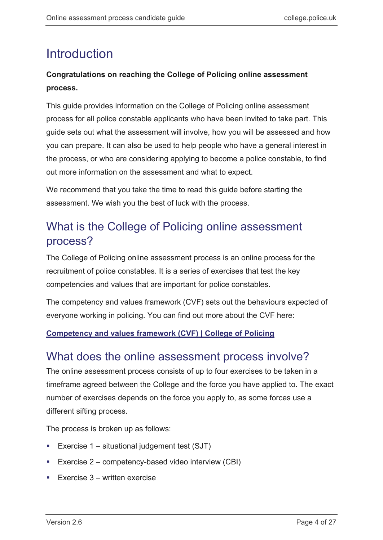# <span id="page-3-0"></span>**Introduction**

## **Congratulations on reaching the College of Policing online assessment process.**

This guide provides information on the College of Policing online assessment process for all police constable applicants who have been invited to take part. This guide sets out what the assessment will involve, how you will be assessed and how you can prepare. It can also be used to help people who have a general interest in the process, or who are considering applying to become a police constable, to find out more information on the assessment and what to expect.

We recommend that you take the time to read this guide before starting the assessment. We wish you the best of luck with the process.

## <span id="page-3-1"></span>What is the College of Policing online assessment process?

The College of Policing online assessment process is an online process for the recruitment of police constables. It is a series of exercises that test the key competencies and values that are important for police constables.

The competency and values framework (CVF) sets out the behaviours expected of everyone working in policing. You can find out more about the CVF here:

## **[Competency and values framework \(CVF\) | College of Policing](https://www.college.police.uk/career-learning/career-development/competency-and-values-framework-cvf)**

## <span id="page-3-2"></span>What does the online assessment process involve?

The online assessment process consists of up to four exercises to be taken in a timeframe agreed between the College and the force you have applied to. The exact number of exercises depends on the force you apply to, as some forces use a different sifting process.

The process is broken up as follows:

- Exercise  $1 -$  situational judgement test (SJT)
- Exercise  $2$  competency-based video interview (CBI)
- Exercise  $3$  written exercise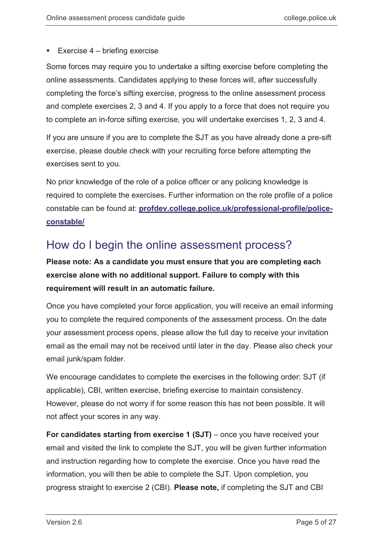## Exercise  $4$  – briefing exercise

Some forces may require you to undertake a sifting exercise before completing the online assessments. Candidates applying to these forces will, after successfully completing the force's sifting exercise, progress to the online assessment process and complete exercises 2, 3 and 4. If you apply to a force that does not require you to complete an in-force sifting exercise, you will undertake exercises 1, 2, 3 and 4.

If you are unsure if you are to complete the SJT as you have already done a pre-sift exercise, please double check with your recruiting force before attempting the exercises sent to you.

No prior knowledge of the role of a police officer or any policing knowledge is required to complete the exercises. Further information on the role profile of a police constable can be found at: **[profdev.college.police.uk/professional-profile/police](https://profdev.college.police.uk/professional-profile/police-constable/)[constable/](https://profdev.college.police.uk/professional-profile/police-constable/)**

## <span id="page-4-0"></span>How do I begin the online assessment process?

**Please note: As a candidate you must ensure that you are completing each exercise alone with no additional support. Failure to comply with this requirement will result in an automatic failure.**

Once you have completed your force application, you will receive an email informing you to complete the required components of the assessment process. On the date your assessment process opens, please allow the full day to receive your invitation email as the email may not be received until later in the day. Please also check your email junk/spam folder.

We encourage candidates to complete the exercises in the following order: SJT (if applicable), CBI, written exercise, briefing exercise to maintain consistency. However, please do not worry if for some reason this has not been possible. It will not affect your scores in any way.

**For candidates starting from exercise 1 (SJT)** – once you have received your email and visited the link to complete the SJT, you will be given further information and instruction regarding how to complete the exercise. Once you have read the information, you will then be able to complete the SJT. Upon completion, you progress straight to exercise 2 (CBI). **Please note,** if completing the SJT and CBI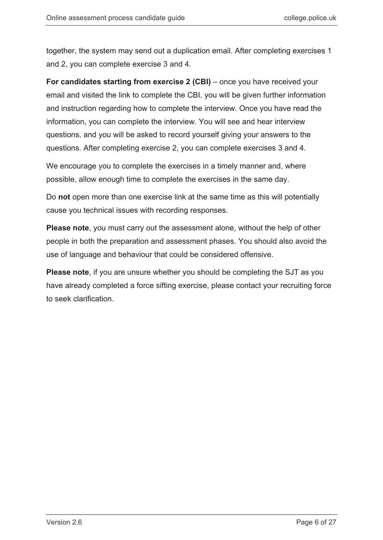together, the system may send out a duplication email. After completing exercises 1 and 2, you can complete exercise 3 and 4.

**For candidates starting from exercise 2 (CBI)** – once you have received your email and visited the link to complete the CBI, you will be given further information and instruction regarding how to complete the interview. Once you have read the information, you can complete the interview. You will see and hear interview questions, and you will be asked to record yourself giving your answers to the questions. After completing exercise 2, you can complete exercises 3 and 4.

We encourage you to complete the exercises in a timely manner and, where possible, allow enough time to complete the exercises in the same day.

Do **not** open more than one exercise link at the same time as this will potentially cause you technical issues with recording responses.

**Please note**, you must carry out the assessment alone, without the help of other people in both the preparation and assessment phases. You should also avoid the use of language and behaviour that could be considered offensive.

**Please note**, if you are unsure whether you should be completing the SJT as you have already completed a force sifting exercise, please contact your recruiting force to seek clarification.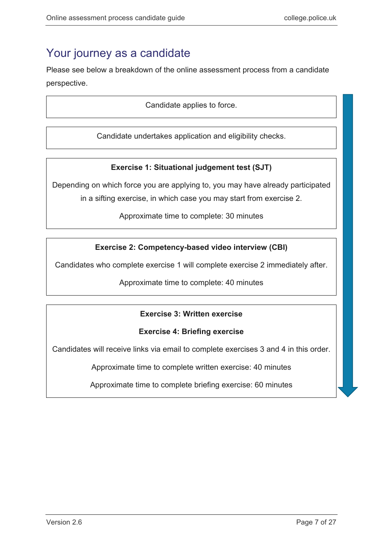## <span id="page-6-0"></span>Your journey as a candidate

Please see below a breakdown of the online assessment process from a candidate perspective.

Candidate applies to force.

Candidate undertakes application and eligibility checks.

## **Exercise 1: Situational judgement test (SJT)**

Depending on which force you are applying to, you may have already participated

in a sifting exercise, in which case you may start from exercise 2.

Approximate time to complete: 30 minutes

## **Exercise 2: Competency-based video interview (CBI)**

Candidates who complete exercise 1 will complete exercise 2 immediately after.

Approximate time to complete: 40 minutes

## **Exercise 3: Written exercise**

## **Exercise 4: Briefing exercise**

Candidates will receive links via email to complete exercises 3 and 4 in this order.

Approximate time to complete written exercise: 40 minutes

Approximate time to complete briefing exercise: 60 minutes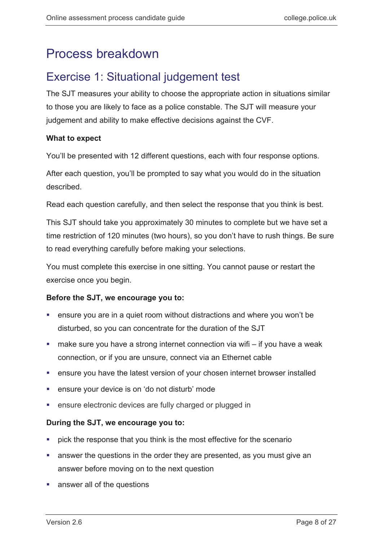## <span id="page-7-0"></span>Process breakdown

## <span id="page-7-1"></span>Exercise 1: Situational judgement test

The SJT measures your ability to choose the appropriate action in situations similar to those you are likely to face as a police constable. The SJT will measure your judgement and ability to make effective decisions against the CVF.

## **What to expect**

You'll be presented with 12 different questions, each with four response options.

After each question, you'll be prompted to say what you would do in the situation described.

Read each question carefully, and then select the response that you think is best.

This SJT should take you approximately 30 minutes to complete but we have set a time restriction of 120 minutes (two hours), so you don't have to rush things. Be sure to read everything carefully before making your selections.

You must complete this exercise in one sitting. You cannot pause or restart the exercise once you begin.

## **Before the SJT, we encourage you to:**

- ensure you are in a quiet room without distractions and where you won't be disturbed, so you can concentrate for the duration of the SJT
- make sure you have a strong internet connection via wifi if you have a weak connection, or if you are unsure, connect via an Ethernet cable
- ensure you have the latest version of your chosen internet browser installed
- ensure your device is on 'do not disturb' mode
- ensure electronic devices are fully charged or plugged in

## **During the SJT, we encourage you to:**

- **PEDITE:** pick the response that you think is the most effective for the scenario
- answer the questions in the order they are presented, as you must give an answer before moving on to the next question
- answer all of the questions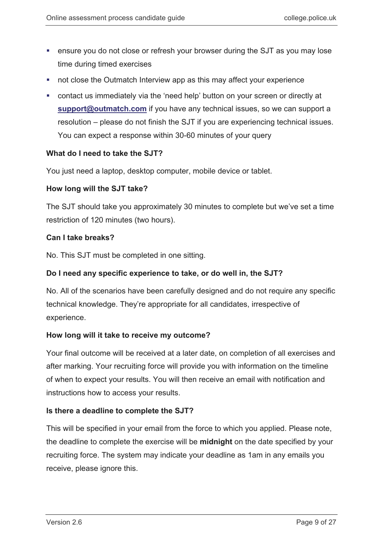- ensure you do not close or refresh your browser during the SJT as you may lose time during timed exercises
- **not close the Outmatch Interview app as this may affect your experience**
- contact us immediately via the 'need help' button on your screen or directly at **[support@outmatch.com](mailto:support@outmatch.com)** if you have any technical issues, so we can support a resolution – please do not finish the SJT if you are experiencing technical issues. You can expect a response within 30-60 minutes of your query

## **What do I need to take the SJT?**

You just need a laptop, desktop computer, mobile device or tablet.

### **How long will the SJT take?**

The SJT should take you approximately 30 minutes to complete but we've set a time restriction of 120 minutes (two hours).

### **Can I take breaks?**

No. This SJT must be completed in one sitting.

### **Do I need any specific experience to take, or do well in, the SJT?**

No. All of the scenarios have been carefully designed and do not require any specific technical knowledge. They're appropriate for all candidates, irrespective of experience.

### **How long will it take to receive my outcome?**

Your final outcome will be received at a later date, on completion of all exercises and after marking. Your recruiting force will provide you with information on the timeline of when to expect your results. You will then receive an email with notification and instructions how to access your results.

### **Is there a deadline to complete the SJT?**

This will be specified in your email from the force to which you applied. Please note, the deadline to complete the exercise will be **midnight** on the date specified by your recruiting force. The system may indicate your deadline as 1am in any emails you receive, please ignore this.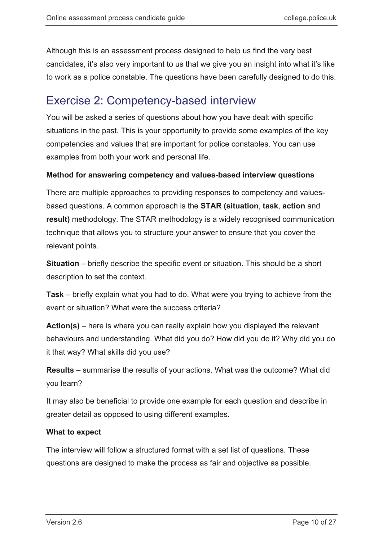Although this is an assessment process designed to help us find the very best candidates, it's also very important to us that we give you an insight into what it's like to work as a police constable. The questions have been carefully designed to do this.

## <span id="page-9-0"></span>Exercise 2: Competency-based interview

You will be asked a series of questions about how you have dealt with specific situations in the past. This is your opportunity to provide some examples of the key competencies and values that are important for police constables. You can use examples from both your work and personal life.

## **Method for answering competency and values-based interview questions**

There are multiple approaches to providing responses to competency and valuesbased questions. A common approach is the **STAR (situation**, **task**, **action** and **result)** methodology. The STAR methodology is a widely recognised communication technique that allows you to structure your answer to ensure that you cover the relevant points.

**Situation** – briefly describe the specific event or situation. This should be a short description to set the context.

**Task** – briefly explain what you had to do. What were you trying to achieve from the event or situation? What were the success criteria?

**Action(s)** – here is where you can really explain how you displayed the relevant behaviours and understanding. What did you do? How did you do it? Why did you do it that way? What skills did you use?

**Results** – summarise the results of your actions. What was the outcome? What did you learn?

It may also be beneficial to provide one example for each question and describe in greater detail as opposed to using different examples.

### **What to expect**

The interview will follow a structured format with a set list of questions. These questions are designed to make the process as fair and objective as possible.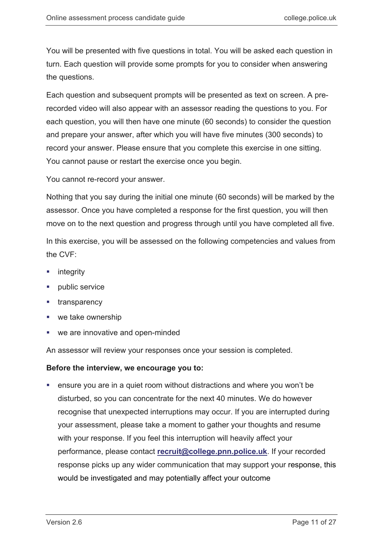You will be presented with five questions in total. You will be asked each question in turn. Each question will provide some prompts for you to consider when answering the questions.

Each question and subsequent prompts will be presented as text on screen. A prerecorded video will also appear with an assessor reading the questions to you. For each question, you will then have one minute (60 seconds) to consider the question and prepare your answer, after which you will have five minutes (300 seconds) to record your answer. Please ensure that you complete this exercise in one sitting. You cannot pause or restart the exercise once you begin.

You cannot re-record your answer.

Nothing that you say during the initial one minute (60 seconds) will be marked by the assessor. Once you have completed a response for the first question, you will then move on to the next question and progress through until you have completed all five.

In this exercise, you will be assessed on the following competencies and values from the CVF:

- $\blacksquare$  integrity
- public service
- **transparency**
- we take ownership
- we are innovative and open-minded

An assessor will review your responses once your session is completed.

### **Before the interview, we encourage you to:**

 ensure you are in a quiet room without distractions and where you won't be disturbed, so you can concentrate for the next 40 minutes. We do however recognise that unexpected interruptions may occur. If you are interrupted during your assessment, please take a moment to gather your thoughts and resume with your response. If you feel this interruption will heavily affect your performance, please contact **[recruit@college.pnn.police.uk](mailto:recruit@college.pnn.police.uk)**. If your recorded response picks up any wider communication that may support your response, this would be investigated and may potentially affect your outcome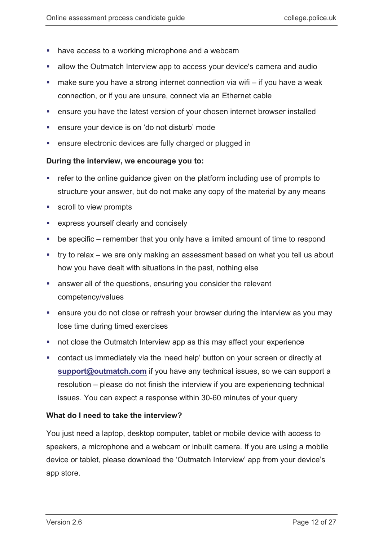- have access to a working microphone and a webcam
- allow the Outmatch Interview app to access your device's camera and audio
- $\blacksquare$  make sure you have a strong internet connection via wifi if you have a weak connection, or if you are unsure, connect via an Ethernet cable
- ensure you have the latest version of your chosen internet browser installed
- ensure your device is on 'do not disturb' mode
- **EXECTE:** ensure electronic devices are fully charged or plugged in

### **During the interview, we encourage you to:**

- refer to the online guidance given on the platform including use of prompts to structure your answer, but do not make any copy of the material by any means
- scroll to view prompts
- express yourself clearly and concisely
- be specific remember that you only have a limited amount of time to respond
- try to relax we are only making an assessment based on what you tell us about how you have dealt with situations in the past, nothing else
- answer all of the questions, ensuring you consider the relevant competency/values
- ensure you do not close or refresh your browser during the interview as you may lose time during timed exercises
- **not close the Outmatch Interview app as this may affect your experience**
- contact us immediately via the 'need help' button on your screen or directly at **[support@outmatch.com](mailto:support@outmatch.com)** if you have any technical issues, so we can support a resolution – please do not finish the interview if you are experiencing technical issues. You can expect a response within 30-60 minutes of your query

### **What do I need to take the interview?**

You just need a laptop, desktop computer, tablet or mobile device with access to speakers, a microphone and a webcam or inbuilt camera. If you are using a mobile device or tablet, please download the 'Outmatch Interview' app from your device's app store.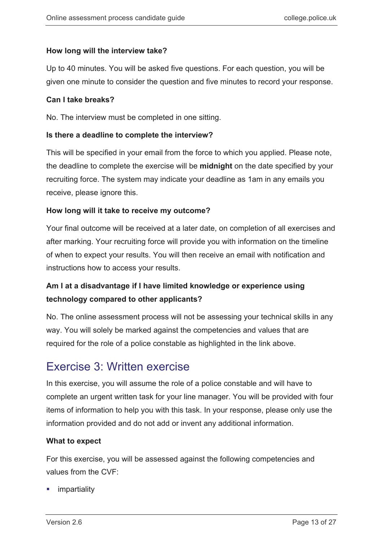## **How long will the interview take?**

Up to 40 minutes. You will be asked five questions. For each question, you will be given one minute to consider the question and five minutes to record your response.

### **Can I take breaks?**

No. The interview must be completed in one sitting.

### **Is there a deadline to complete the interview?**

This will be specified in your email from the force to which you applied. Please note, the deadline to complete the exercise will be **midnight** on the date specified by your recruiting force. The system may indicate your deadline as 1am in any emails you receive, please ignore this.

## **How long will it take to receive my outcome?**

Your final outcome will be received at a later date, on completion of all exercises and after marking. Your recruiting force will provide you with information on the timeline of when to expect your results. You will then receive an email with notification and instructions how to access your results.

## **Am I at a disadvantage if I have limited knowledge or experience using technology compared to other applicants?**

No. The online assessment process will not be assessing your technical skills in any way. You will solely be marked against the competencies and values that are required for the role of a police constable as highlighted in the link above.

## <span id="page-12-0"></span>Exercise 3: Written exercise

In this exercise, you will assume the role of a police constable and will have to complete an urgent written task for your line manager. You will be provided with four items of information to help you with this task. In your response, please only use the information provided and do not add or invent any additional information.

## **What to expect**

For this exercise, you will be assessed against the following competencies and values from the CVF:

impartiality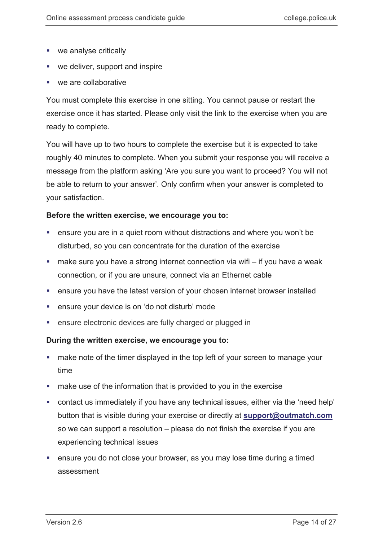- **we analyse critically**
- we deliver, support and inspire
- we are collaborative

You must complete this exercise in one sitting. You cannot pause or restart the exercise once it has started. Please only visit the link to the exercise when you are ready to complete.

You will have up to two hours to complete the exercise but it is expected to take roughly 40 minutes to complete. When you submit your response you will receive a message from the platform asking 'Are you sure you want to proceed? You will not be able to return to your answer'. Only confirm when your answer is completed to your satisfaction.

### **Before the written exercise, we encourage you to:**

- ensure you are in a quiet room without distractions and where you won't be disturbed, so you can concentrate for the duration of the exercise
- make sure you have a strong internet connection via wifi if you have a weak connection, or if you are unsure, connect via an Ethernet cable
- ensure you have the latest version of your chosen internet browser installed
- ensure your device is on 'do not disturb' mode
- **EXECTE:** ensure electronic devices are fully charged or plugged in

### **During the written exercise, we encourage you to:**

- **numake note of the timer displayed in the top left of your screen to manage your** time
- **EXED** make use of the information that is provided to you in the exercise
- contact us immediately if you have any technical issues, either via the 'need help' button that is visible during your exercise or directly at **[support@outmatch.com](mailto:support@outmatch.com)** so we can support a resolution – please do not finish the exercise if you are experiencing technical issues
- **EXT** ensure you do not close your browser, as you may lose time during a timed assessment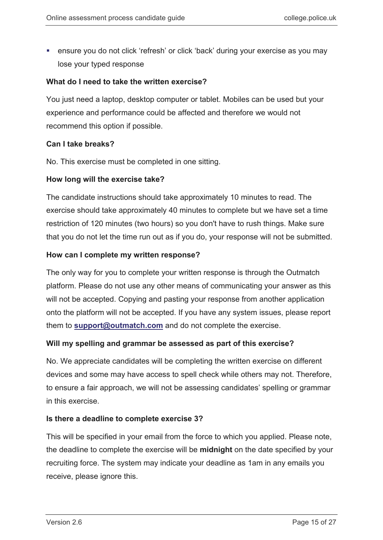ensure you do not click 'refresh' or click 'back' during your exercise as you may lose your typed response

### **What do I need to take the written exercise?**

You just need a laptop, desktop computer or tablet. Mobiles can be used but your experience and performance could be affected and therefore we would not recommend this option if possible.

### **Can I take breaks?**

No. This exercise must be completed in one sitting.

### **How long will the exercise take?**

The candidate instructions should take approximately 10 minutes to read. The exercise should take approximately 40 minutes to complete but we have set a time restriction of 120 minutes (two hours) so you don't have to rush things. Make sure that you do not let the time run out as if you do, your response will not be submitted.

### **How can I complete my written response?**

The only way for you to complete your written response is through the Outmatch platform. Please do not use any other means of communicating your answer as this will not be accepted. Copying and pasting your response from another application onto the platform will not be accepted. If you have any system issues, please report them to **[support@outmatch.com](mailto:support@outmatch.com)** and do not complete the exercise.

### **Will my spelling and grammar be assessed as part of this exercise?**

No. We appreciate candidates will be completing the written exercise on different devices and some may have access to spell check while others may not. Therefore, to ensure a fair approach, we will not be assessing candidates' spelling or grammar in this exercise.

## **Is there a deadline to complete exercise 3?**

This will be specified in your email from the force to which you applied. Please note, the deadline to complete the exercise will be **midnight** on the date specified by your recruiting force. The system may indicate your deadline as 1am in any emails you receive, please ignore this.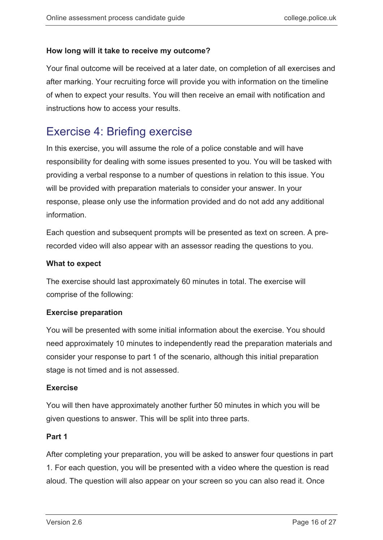## **How long will it take to receive my outcome?**

<span id="page-15-0"></span>Your final outcome will be received at a later date, on completion of all exercises and after marking. Your recruiting force will provide you with information on the timeline of when to expect your results. You will then receive an email with notification and instructions how to access your results.

## Exercise 4: Briefing exercise

In this exercise, you will assume the role of a police constable and will have responsibility for dealing with some issues presented to you. You will be tasked with providing a verbal response to a number of questions in relation to this issue. You will be provided with preparation materials to consider your answer. In your response, please only use the information provided and do not add any additional information.

Each question and subsequent prompts will be presented as text on screen. A prerecorded video will also appear with an assessor reading the questions to you.

## **What to expect**

The exercise should last approximately 60 minutes in total. The exercise will comprise of the following:

## **Exercise preparation**

You will be presented with some initial information about the exercise. You should need approximately 10 minutes to independently read the preparation materials and consider your response to part 1 of the scenario, although this initial preparation stage is not timed and is not assessed.

## **Exercise**

You will then have approximately another further 50 minutes in which you will be given questions to answer. This will be split into three parts.

## **Part 1**

After completing your preparation, you will be asked to answer four questions in part 1. For each question, you will be presented with a video where the question is read aloud. The question will also appear on your screen so you can also read it. Once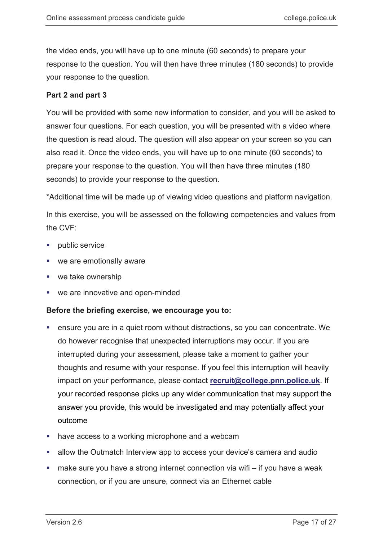the video ends, you will have up to one minute (60 seconds) to prepare your response to the question. You will then have three minutes (180 seconds) to provide your response to the question.

## **Part 2 and part 3**

You will be provided with some new information to consider, and you will be asked to answer four questions. For each question, you will be presented with a video where the question is read aloud. The question will also appear on your screen so you can also read it. Once the video ends, you will have up to one minute (60 seconds) to prepare your response to the question. You will then have three minutes (180 seconds) to provide your response to the question.

\*Additional time will be made up of viewing video questions and platform navigation.

In this exercise, you will be assessed on the following competencies and values from the CVF:

- public service
- we are emotionally aware
- we take ownership
- we are innovative and open-minded

## **Before the briefing exercise, we encourage you to:**

- ensure you are in a quiet room without distractions, so you can concentrate. We do however recognise that unexpected interruptions may occur. If you are interrupted during your assessment, please take a moment to gather your thoughts and resume with your response. If you feel this interruption will heavily impact on your performance, please contact **[recruit@college.pnn.police.uk](mailto:recruit@college.pnn.police.uk)**. If your recorded response picks up any wider communication that may support the answer you provide, this would be investigated and may potentially affect your outcome
- have access to a working microphone and a webcam
- **EXEDENT Allow the Outmatch Interview app to access your device's camera and audio**
- make sure you have a strong internet connection via wifi if you have a weak connection, or if you are unsure, connect via an Ethernet cable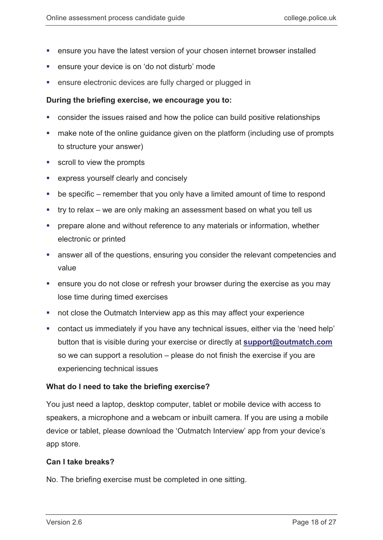- ensure you have the latest version of your chosen internet browser installed
- ensure your device is on 'do not disturb' mode
- ensure electronic devices are fully charged or plugged in

### **During the briefing exercise, we encourage you to:**

- consider the issues raised and how the police can build positive relationships
- make note of the online guidance given on the platform (including use of prompts to structure your answer)
- **scroll to view the prompts**
- express yourself clearly and concisely
- be specific remember that you only have a limited amount of time to respond
- try to relax we are only making an assessment based on what you tell us
- **PED Prepare alone and without reference to any materials or information, whether** electronic or printed
- answer all of the questions, ensuring you consider the relevant competencies and value
- ensure you do not close or refresh your browser during the exercise as you may lose time during timed exercises
- not close the Outmatch Interview app as this may affect your experience
- contact us immediately if you have any technical issues, either via the 'need help' button that is visible during your exercise or directly at **[support@outmatch.com](mailto:support@outmatch.com)** so we can support a resolution – please do not finish the exercise if you are experiencing technical issues

### **What do I need to take the briefing exercise?**

You just need a laptop, desktop computer, tablet or mobile device with access to speakers, a microphone and a webcam or inbuilt camera. If you are using a mobile device or tablet, please download the 'Outmatch Interview' app from your device's app store.

### **Can I take breaks?**

No. The briefing exercise must be completed in one sitting.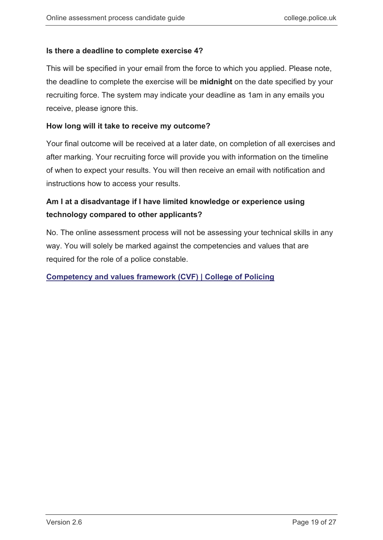## **Is there a deadline to complete exercise 4?**

This will be specified in your email from the force to which you applied. Please note, the deadline to complete the exercise will be **midnight** on the date specified by your recruiting force. The system may indicate your deadline as 1am in any emails you receive, please ignore this.

## **How long will it take to receive my outcome?**

Your final outcome will be received at a later date, on completion of all exercises and after marking. Your recruiting force will provide you with information on the timeline of when to expect your results. You will then receive an email with notification and instructions how to access your results.

## **Am I at a disadvantage if I have limited knowledge or experience using technology compared to other applicants?**

No. The online assessment process will not be assessing your technical skills in any way. You will solely be marked against the competencies and values that are required for the role of a police constable.

## **[Competency and values framework \(CVF\) | College of Policing](https://www.college.police.uk/career-learning/career-development/competency-and-values-framework-cvf)**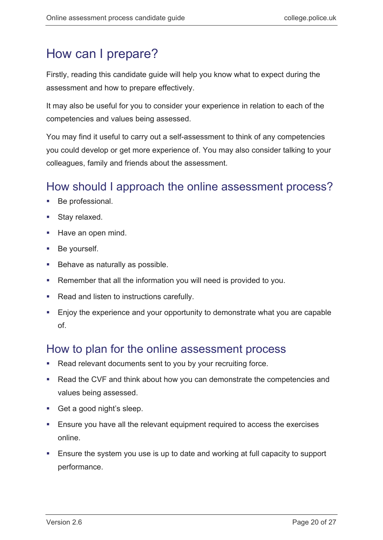# <span id="page-19-0"></span>How can I prepare?

Firstly, reading this candidate guide will help you know what to expect during the assessment and how to prepare effectively.

It may also be useful for you to consider your experience in relation to each of the competencies and values being assessed.

You may find it useful to carry out a self-assessment to think of any competencies you could develop or get more experience of. You may also consider talking to your colleagues, family and friends about the assessment.

## <span id="page-19-1"></span>How should I approach the online assessment process?

- Be professional.
- Stay relaxed.
- Have an open mind.
- **Be yourself.**
- **Behave as naturally as possible.**
- Remember that all the information you will need is provided to you.
- Read and listen to instructions carefully.
- Enjoy the experience and your opportunity to demonstrate what you are capable of.

## <span id="page-19-2"></span>How to plan for the online assessment process

- **Read relevant documents sent to you by your recruiting force.**
- Read the CVF and think about how you can demonstrate the competencies and values being assessed.
- Get a good night's sleep.
- **Ensure you have all the relevant equipment required to access the exercises** online.
- Ensure the system you use is up to date and working at full capacity to support performance.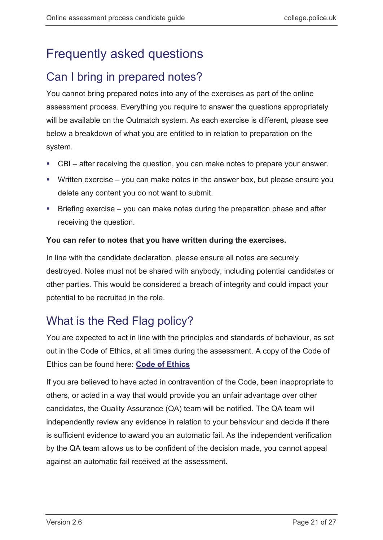# <span id="page-20-0"></span>Frequently asked questions

## <span id="page-20-1"></span>Can I bring in prepared notes?

You cannot bring prepared notes into any of the exercises as part of the online assessment process. Everything you require to answer the questions appropriately will be available on the Outmatch system. As each exercise is different, please see below a breakdown of what you are entitled to in relation to preparation on the system.

- CBI after receiving the question, you can make notes to prepare your answer.
- Written exercise you can make notes in the answer box, but please ensure you delete any content you do not want to submit.
- Briefing exercise you can make notes during the preparation phase and after receiving the question.

## **You can refer to notes that you have written during the exercises.**

In line with the candidate declaration, please ensure all notes are securely destroyed. Notes must not be shared with anybody, including potential candidates or other parties. This would be considered a breach of integrity and could impact your potential to be recruited in the role.

## <span id="page-20-2"></span>What is the Red Flag policy?

You are expected to act in line with the principles and standards of behaviour, as set out in the Code of Ethics, at all times during the assessment. A copy of the Code of Ethics can be found here: **[Code of Ethics](https://paas-s3-broker-prod-lon-6453d964-1d1a-432a-9260-5e0ba7d2fc51.s3.eu-west-2.amazonaws.com/s3fs-public/2021-02/code_of_ethics.pdf)**

If you are believed to have acted in contravention of the Code, been inappropriate to others, or acted in a way that would provide you an unfair advantage over other candidates, the Quality Assurance (QA) team will be notified. The QA team will independently review any evidence in relation to your behaviour and decide if there is sufficient evidence to award you an automatic fail. As the independent verification by the QA team allows us to be confident of the decision made, you cannot appeal against an automatic fail received at the assessment.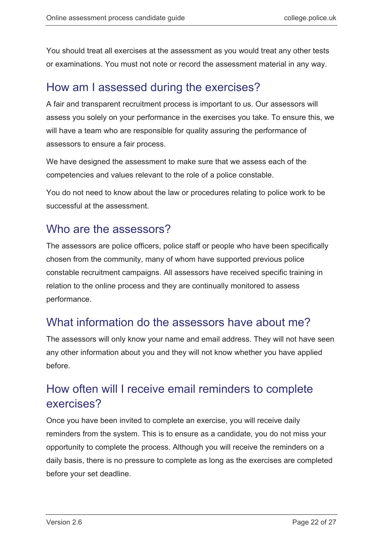You should treat all exercises at the assessment as you would treat any other tests or examinations. You must not note or record the assessment material in any way.

## <span id="page-21-0"></span>How am I assessed during the exercises?

A fair and transparent recruitment process is important to us. Our assessors will assess you solely on your performance in the exercises you take. To ensure this, we will have a team who are responsible for quality assuring the performance of assessors to ensure a fair process.

We have designed the assessment to make sure that we assess each of the competencies and values relevant to the role of a police constable.

You do not need to know about the law or procedures relating to police work to be successful at the assessment.

## <span id="page-21-1"></span>Who are the assessors?

The assessors are police officers, police staff or people who have been specifically chosen from the community, many of whom have supported previous police constable recruitment campaigns. All assessors have received specific training in relation to the online process and they are continually monitored to assess performance.

## <span id="page-21-2"></span>What information do the assessors have about me?

The assessors will only know your name and email address. They will not have seen any other information about you and they will not know whether you have applied before.

## <span id="page-21-3"></span>How often will I receive email reminders to complete exercises?

Once you have been invited to complete an exercise, you will receive daily reminders from the system. This is to ensure as a candidate, you do not miss your opportunity to complete the process. Although you will receive the reminders on a daily basis, there is no pressure to complete as long as the exercises are completed before your set deadline.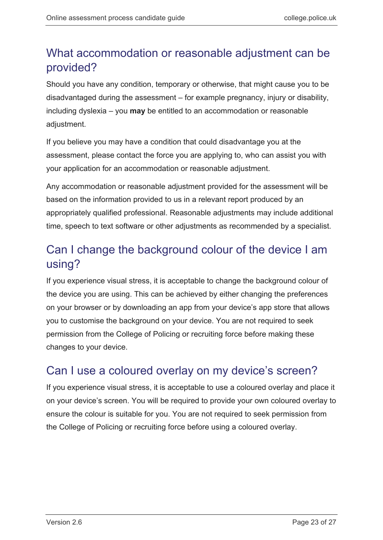## <span id="page-22-0"></span>What accommodation or reasonable adjustment can be provided?

Should you have any condition, temporary or otherwise, that might cause you to be disadvantaged during the assessment – for example pregnancy, injury or disability, including dyslexia – you **may** be entitled to an accommodation or reasonable adjustment.

If you believe you may have a condition that could disadvantage you at the assessment, please contact the force you are applying to, who can assist you with your application for an accommodation or reasonable adjustment.

Any accommodation or reasonable adjustment provided for the assessment will be based on the information provided to us in a relevant report produced by an appropriately qualified professional. Reasonable adjustments may include additional time, speech to text software or other adjustments as recommended by a specialist.

## <span id="page-22-1"></span>Can I change the background colour of the device I am using?

If you experience visual stress, it is acceptable to change the background colour of the device you are using. This can be achieved by either changing the preferences on your browser or by downloading an app from your device's app store that allows you to customise the background on your device. You are not required to seek permission from the College of Policing or recruiting force before making these changes to your device.

## <span id="page-22-2"></span>Can I use a coloured overlay on my device's screen?

If you experience visual stress, it is acceptable to use a coloured overlay and place it on your device's screen. You will be required to provide your own coloured overlay to ensure the colour is suitable for you. You are not required to seek permission from the College of Policing or recruiting force before using a coloured overlay.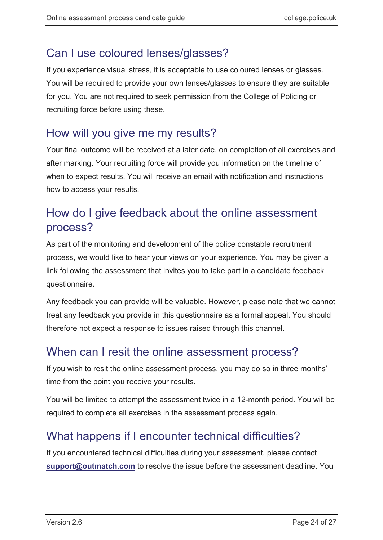## <span id="page-23-0"></span>Can I use coloured lenses/glasses?

If you experience visual stress, it is acceptable to use coloured lenses or glasses. You will be required to provide your own lenses/glasses to ensure they are suitable for you. You are not required to seek permission from the College of Policing or recruiting force before using these.

## <span id="page-23-1"></span>How will you give me my results?

<span id="page-23-2"></span>Your final outcome will be received at a later date, on completion of all exercises and after marking. Your recruiting force will provide you information on the timeline of when to expect results. You will receive an email with notification and instructions how to access your results.

## How do I give feedback about the online assessment process?

As part of the monitoring and development of the police constable recruitment process, we would like to hear your views on your experience. You may be given a link following the assessment that invites you to take part in a candidate feedback questionnaire.

Any feedback you can provide will be valuable. However, please note that we cannot treat any feedback you provide in this questionnaire as a formal appeal. You should therefore not expect a response to issues raised through this channel.

## <span id="page-23-3"></span>When can I resit the online assessment process?

If you wish to resit the online assessment process, you may do so in three months' time from the point you receive your results.

You will be limited to attempt the assessment twice in a 12-month period. You will be required to complete all exercises in the assessment process again.

## <span id="page-23-4"></span>What happens if I encounter technical difficulties?

If you encountered technical difficulties during your assessment, please contact **[support@outmatch.com](mailto:support@outmatch.com)** to resolve the issue before the assessment deadline. You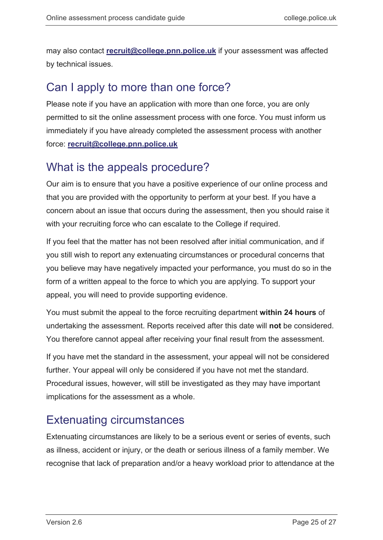may also contact **[recruit@college.pnn.police.uk](mailto:recruit@college.pnn.police.uk)** if your assessment was affected by technical issues.

## <span id="page-24-0"></span>Can I apply to more than one force?

Please note if you have an application with more than one force, you are only permitted to sit the online assessment process with one force. You must inform us immediately if you have already completed the assessment process with another force: **[recruit@college.pnn.police.uk](mailto:recruit@college.pnn.police.uk)**

## <span id="page-24-1"></span>What is the appeals procedure?

Our aim is to ensure that you have a positive experience of our online process and that you are provided with the opportunity to perform at your best. If you have a concern about an issue that occurs during the assessment, then you should raise it with your recruiting force who can escalate to the College if required.

If you feel that the matter has not been resolved after initial communication, and if you still wish to report any extenuating circumstances or procedural concerns that you believe may have negatively impacted your performance, you must do so in the form of a written appeal to the force to which you are applying. To support your appeal, you will need to provide supporting evidence.

You must submit the appeal to the force recruiting department **within 24 hours** of undertaking the assessment. Reports received after this date will **not** be considered. You therefore cannot appeal after receiving your final result from the assessment.

If you have met the standard in the assessment, your appeal will not be considered further. Your appeal will only be considered if you have not met the standard. Procedural issues, however, will still be investigated as they may have important implications for the assessment as a whole.

## <span id="page-24-2"></span>Extenuating circumstances

Extenuating circumstances are likely to be a serious event or series of events, such as illness, accident or injury, or the death or serious illness of a family member. We recognise that lack of preparation and/or a heavy workload prior to attendance at the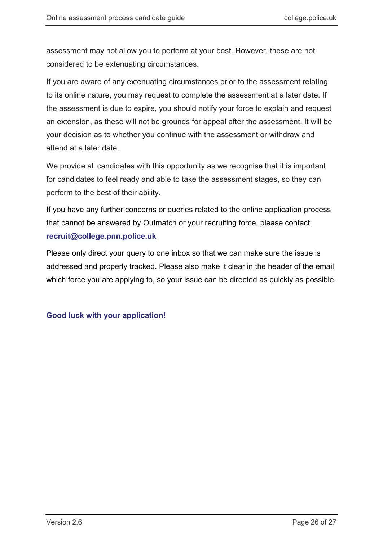assessment may not allow you to perform at your best. However, these are not considered to be extenuating circumstances.

If you are aware of any extenuating circumstances prior to the assessment relating to its online nature, you may request to complete the assessment at a later date. If the assessment is due to expire, you should notify your force to explain and request an extension, as these will not be grounds for appeal after the assessment. It will be your decision as to whether you continue with the assessment or withdraw and attend at a later date.

We provide all candidates with this opportunity as we recognise that it is important for candidates to feel ready and able to take the assessment stages, so they can perform to the best of their ability.

If you have any further concerns or queries related to the online application process that cannot be answered by Outmatch or your recruiting force, please contact **[recruit@college.pnn.police.uk](mailto:recruit@college.pnn.police.uk)**

Please only direct your query to one inbox so that we can make sure the issue is addressed and properly tracked. Please also make it clear in the header of the email which force you are applying to, so your issue can be directed as quickly as possible.

## **Good luck with your application!**